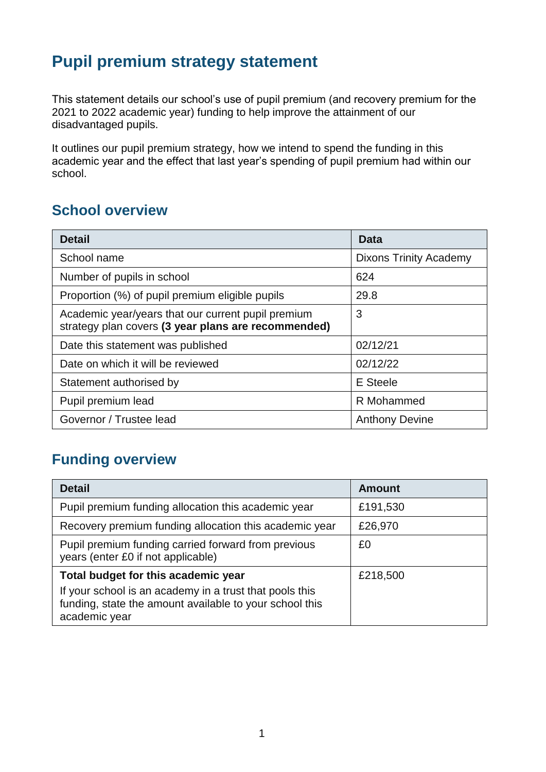# **Pupil premium strategy statement**

This statement details our school's use of pupil premium (and recovery premium for the 2021 to 2022 academic year) funding to help improve the attainment of our disadvantaged pupils.

It outlines our pupil premium strategy, how we intend to spend the funding in this academic year and the effect that last year's spending of pupil premium had within our school.

## **School overview**

| <b>Detail</b>                                                                                             | Data                          |
|-----------------------------------------------------------------------------------------------------------|-------------------------------|
| School name                                                                                               | <b>Dixons Trinity Academy</b> |
| Number of pupils in school                                                                                | 624                           |
| Proportion (%) of pupil premium eligible pupils                                                           | 29.8                          |
| Academic year/years that our current pupil premium<br>strategy plan covers (3 year plans are recommended) | 3                             |
| Date this statement was published                                                                         | 02/12/21                      |
| Date on which it will be reviewed                                                                         | 02/12/22                      |
| Statement authorised by                                                                                   | E Steele                      |
| Pupil premium lead                                                                                        | R Mohammed                    |
| Governor / Trustee lead                                                                                   | <b>Anthony Devine</b>         |

## **Funding overview**

| <b>Detail</b>                                                                                                                       | <b>Amount</b> |
|-------------------------------------------------------------------------------------------------------------------------------------|---------------|
| Pupil premium funding allocation this academic year                                                                                 | £191,530      |
| Recovery premium funding allocation this academic year                                                                              | £26,970       |
| Pupil premium funding carried forward from previous<br>years (enter £0 if not applicable)                                           | £0            |
| Total budget for this academic year                                                                                                 | £218,500      |
| If your school is an academy in a trust that pools this<br>funding, state the amount available to your school this<br>academic year |               |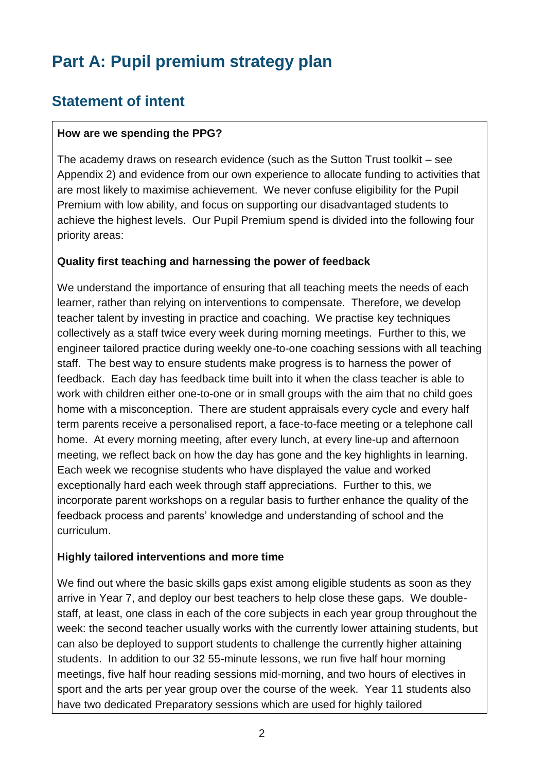# **Part A: Pupil premium strategy plan**

## **Statement of intent**

#### **How are we spending the PPG?**

The academy draws on research evidence (such as the Sutton Trust toolkit – see Appendix 2) and evidence from our own experience to allocate funding to activities that are most likely to maximise achievement. We never confuse eligibility for the Pupil Premium with low ability, and focus on supporting our disadvantaged students to achieve the highest levels. Our Pupil Premium spend is divided into the following four priority areas:

#### **Quality first teaching and harnessing the power of feedback**

We understand the importance of ensuring that all teaching meets the needs of each learner, rather than relying on interventions to compensate. Therefore, we develop teacher talent by investing in practice and coaching. We practise key techniques collectively as a staff twice every week during morning meetings. Further to this, we engineer tailored practice during weekly one-to-one coaching sessions with all teaching staff. The best way to ensure students make progress is to harness the power of feedback. Each day has feedback time built into it when the class teacher is able to work with children either one-to-one or in small groups with the aim that no child goes home with a misconception. There are student appraisals every cycle and every half term parents receive a personalised report, a face-to-face meeting or a telephone call home. At every morning meeting, after every lunch, at every line-up and afternoon meeting, we reflect back on how the day has gone and the key highlights in learning. Each week we recognise students who have displayed the value and worked exceptionally hard each week through staff appreciations. Further to this, we incorporate parent workshops on a regular basis to further enhance the quality of the feedback process and parents' knowledge and understanding of school and the curriculum.

#### **Highly tailored interventions and more time**

We find out where the basic skills gaps exist among eligible students as soon as they arrive in Year 7, and deploy our best teachers to help close these gaps. We doublestaff, at least, one class in each of the core subjects in each year group throughout the week: the second teacher usually works with the currently lower attaining students, but can also be deployed to support students to challenge the currently higher attaining students. In addition to our 32 55-minute lessons, we run five half hour morning meetings, five half hour reading sessions mid-morning, and two hours of electives in sport and the arts per year group over the course of the week. Year 11 students also have two dedicated Preparatory sessions which are used for highly tailored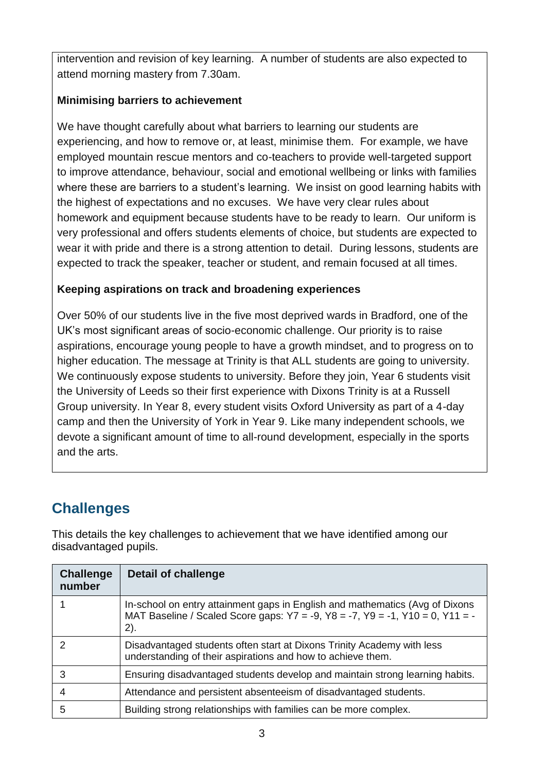intervention and revision of key learning. A number of students are also expected to attend morning mastery from 7.30am.

#### **Minimising barriers to achievement**

We have thought carefully about what barriers to learning our students are experiencing, and how to remove or, at least, minimise them. For example, we have employed mountain rescue mentors and co-teachers to provide well-targeted support to improve attendance, behaviour, social and emotional wellbeing or links with families where these are barriers to a student's learning. We insist on good learning habits with the highest of expectations and no excuses. We have very clear rules about homework and equipment because students have to be ready to learn. Our uniform is very professional and offers students elements of choice, but students are expected to wear it with pride and there is a strong attention to detail. During lessons, students are expected to track the speaker, teacher or student, and remain focused at all times.

#### **Keeping aspirations on track and broadening experiences**

Over 50% of our students live in the five most deprived wards in Bradford, one of the UK's most significant areas of socio-economic challenge. Our priority is to raise aspirations, encourage young people to have a growth mindset, and to progress on to higher education. The message at Trinity is that ALL students are going to university. We continuously expose students to university. Before they join, Year 6 students visit the University of Leeds so their first experience with Dixons Trinity is at a Russell Group university. In Year 8, every student visits Oxford University as part of a 4-day camp and then the University of York in Year 9. Like many independent schools, we devote a significant amount of time to all-round development, especially in the sports and the arts.

## **Challenges**

This details the key challenges to achievement that we have identified among our disadvantaged pupils.

| <b>Challenge</b><br>number | <b>Detail of challenge</b>                                                                                                                                                          |
|----------------------------|-------------------------------------------------------------------------------------------------------------------------------------------------------------------------------------|
|                            | In-school on entry attainment gaps in English and mathematics (Avg of Dixons<br>MAT Baseline / Scaled Score gaps: $Y7 = -9$ , $Y8 = -7$ , $Y9 = -1$ , $Y10 = 0$ , $Y11 = -7$<br>2). |
| 2                          | Disadvantaged students often start at Dixons Trinity Academy with less<br>understanding of their aspirations and how to achieve them.                                               |
| 3                          | Ensuring disadvantaged students develop and maintain strong learning habits.                                                                                                        |
| 4                          | Attendance and persistent absenteeism of disadvantaged students.                                                                                                                    |
| 5                          | Building strong relationships with families can be more complex.                                                                                                                    |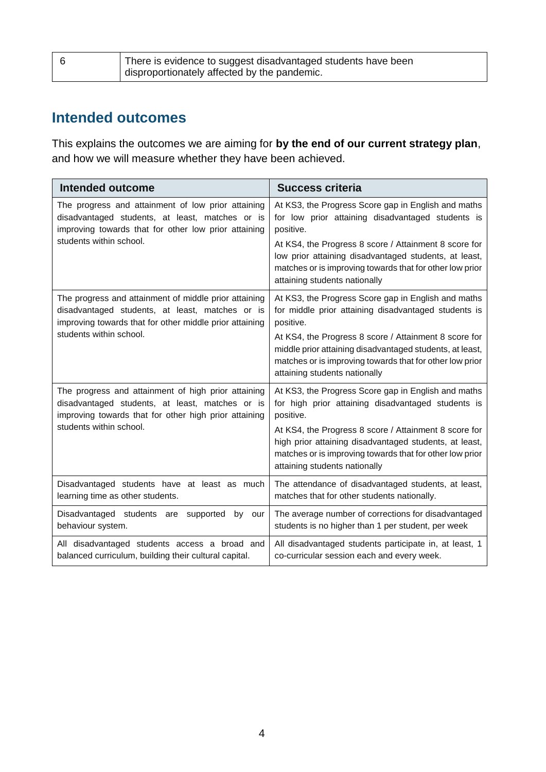| There is evidence to suggest disadvantaged students have been |
|---------------------------------------------------------------|
| disproportionately affected by the pandemic.                  |

## **Intended outcomes**

This explains the outcomes we are aiming for **by the end of our current strategy plan**, and how we will measure whether they have been achieved.

| <b>Intended outcome</b>                                                                                                                                                                        | <b>Success criteria</b>                                                                                                                                                                                                                                                                                                                    |
|------------------------------------------------------------------------------------------------------------------------------------------------------------------------------------------------|--------------------------------------------------------------------------------------------------------------------------------------------------------------------------------------------------------------------------------------------------------------------------------------------------------------------------------------------|
| The progress and attainment of low prior attaining<br>disadvantaged students, at least, matches or is<br>improving towards that for other low prior attaining<br>students within school.       | At KS3, the Progress Score gap in English and maths<br>for low prior attaining disadvantaged students is<br>positive.<br>At KS4, the Progress 8 score / Attainment 8 score for<br>low prior attaining disadvantaged students, at least,<br>matches or is improving towards that for other low prior<br>attaining students nationally       |
| The progress and attainment of middle prior attaining<br>disadvantaged students, at least, matches or is<br>improving towards that for other middle prior attaining<br>students within school. | At KS3, the Progress Score gap in English and maths<br>for middle prior attaining disadvantaged students is<br>positive.<br>At KS4, the Progress 8 score / Attainment 8 score for<br>middle prior attaining disadvantaged students, at least,<br>matches or is improving towards that for other low prior<br>attaining students nationally |
| The progress and attainment of high prior attaining<br>disadvantaged students, at least, matches or is<br>improving towards that for other high prior attaining<br>students within school.     | At KS3, the Progress Score gap in English and maths<br>for high prior attaining disadvantaged students is<br>positive.<br>At KS4, the Progress 8 score / Attainment 8 score for<br>high prior attaining disadvantaged students, at least,<br>matches or is improving towards that for other low prior<br>attaining students nationally     |
| Disadvantaged students have at least as much<br>learning time as other students.                                                                                                               | The attendance of disadvantaged students, at least,<br>matches that for other students nationally.                                                                                                                                                                                                                                         |
| Disadvantaged students are<br>supported<br>by<br>our<br>behaviour system.                                                                                                                      | The average number of corrections for disadvantaged<br>students is no higher than 1 per student, per week                                                                                                                                                                                                                                  |
| All disadvantaged students access a broad and<br>balanced curriculum, building their cultural capital.                                                                                         | All disadvantaged students participate in, at least, 1<br>co-curricular session each and every week.                                                                                                                                                                                                                                       |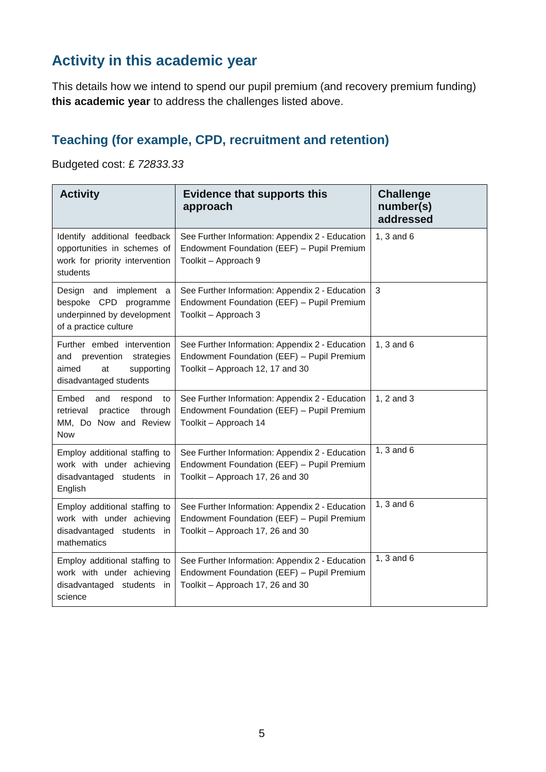## **Activity in this academic year**

This details how we intend to spend our pupil premium (and recovery premium funding) **this academic year** to address the challenges listed above.

## **Teaching (for example, CPD, recruitment and retention)**

Budgeted cost: £ *72833.33*

| <b>Activity</b>                                                                                                | <b>Evidence that supports this</b><br>approach                                                                                    | <b>Challenge</b><br>number(s)<br>addressed |
|----------------------------------------------------------------------------------------------------------------|-----------------------------------------------------------------------------------------------------------------------------------|--------------------------------------------|
| Identify additional feedback<br>opportunities in schemes of<br>work for priority intervention<br>students      | See Further Information: Appendix 2 - Education<br>Endowment Foundation (EEF) - Pupil Premium<br>Toolkit - Approach 9             | 1, $3$ and $6$                             |
| Design and implement a<br>bespoke CPD programme<br>underpinned by development<br>of a practice culture         | See Further Information: Appendix 2 - Education<br>Endowment Foundation (EEF) - Pupil Premium<br>Toolkit - Approach 3             | 3                                          |
| Further embed intervention<br>and prevention strategies<br>aimed<br>supporting<br>at<br>disadvantaged students | See Further Information: Appendix 2 - Education<br>Endowment Foundation (EEF) - Pupil Premium<br>Toolkit - Approach 12, 17 and 30 | 1, $3$ and $6$                             |
| Embed<br>and<br>respond<br>to<br>retrieval<br>practice<br>through<br>MM, Do Now and Review<br><b>Now</b>       | See Further Information: Appendix 2 - Education<br>Endowment Foundation (EEF) - Pupil Premium<br>Toolkit - Approach 14            | 1, 2 and 3                                 |
| Employ additional staffing to<br>work with under achieving<br>disadvantaged students in<br>English             | See Further Information: Appendix 2 - Education<br>Endowment Foundation (EEF) - Pupil Premium<br>Toolkit - Approach 17, 26 and 30 | 1, $3$ and $6$                             |
| Employ additional staffing to<br>work with under achieving<br>disadvantaged students in<br>mathematics         | See Further Information: Appendix 2 - Education<br>Endowment Foundation (EEF) - Pupil Premium<br>Toolkit - Approach 17, 26 and 30 | 1, $3$ and $6$                             |
| Employ additional staffing to<br>work with under achieving<br>disadvantaged students in<br>science             | See Further Information: Appendix 2 - Education<br>Endowment Foundation (EEF) - Pupil Premium<br>Toolkit - Approach 17, 26 and 30 | 1, $3$ and $6$                             |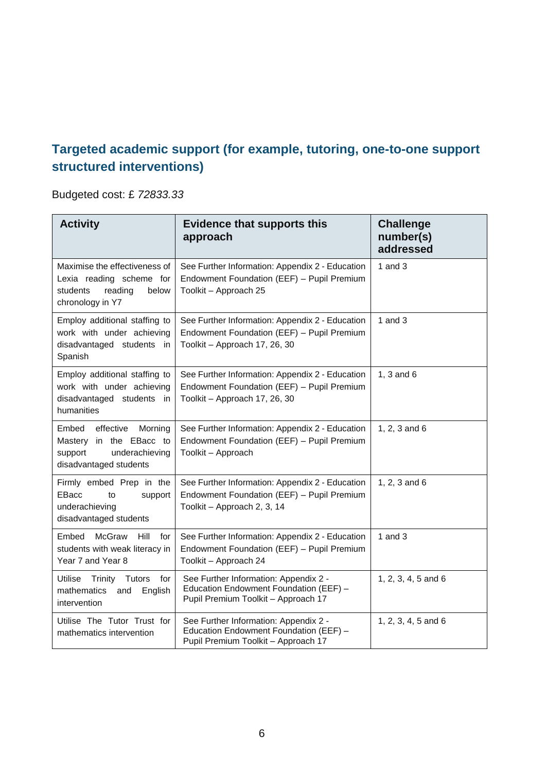## **Targeted academic support (for example, tutoring, one-to-one support structured interventions)**

Budgeted cost: £ *72833.33*

| <b>Activity</b>                                                                                                 | <b>Evidence that supports this</b><br>approach                                                                                 | <b>Challenge</b><br>number(s)<br>addressed |
|-----------------------------------------------------------------------------------------------------------------|--------------------------------------------------------------------------------------------------------------------------------|--------------------------------------------|
| Maximise the effectiveness of<br>Lexia reading scheme for<br>students<br>reading<br>below<br>chronology in Y7   | See Further Information: Appendix 2 - Education<br>Endowment Foundation (EEF) - Pupil Premium<br>Toolkit - Approach 25         | 1 and $3$                                  |
| Employ additional staffing to<br>work with under achieving<br>disadvantaged students in<br>Spanish              | See Further Information: Appendix 2 - Education<br>Endowment Foundation (EEF) - Pupil Premium<br>Toolkit - Approach 17, 26, 30 | 1 and $3$                                  |
| Employ additional staffing to<br>work with under achieving<br>disadvantaged students in<br>humanities           | See Further Information: Appendix 2 - Education<br>Endowment Foundation (EEF) - Pupil Premium<br>Toolkit - Approach 17, 26, 30 | 1, $3$ and $6$                             |
| Embed<br>effective<br>Morning<br>Mastery in the EBacc to<br>underachieving<br>support<br>disadvantaged students | See Further Information: Appendix 2 - Education<br>Endowment Foundation (EEF) - Pupil Premium<br>Toolkit - Approach            | 1, 2, 3 and 6                              |
| Firmly embed Prep in the<br><b>EBacc</b><br>support<br>to<br>underachieving<br>disadvantaged students           | See Further Information: Appendix 2 - Education<br>Endowment Foundation (EEF) - Pupil Premium<br>Toolkit - Approach 2, 3, 14   | 1, 2, 3 and $6$                            |
| Embed<br>McGraw<br>Hill<br>for<br>students with weak literacy in<br>Year 7 and Year 8                           | See Further Information: Appendix 2 - Education<br>Endowment Foundation (EEF) - Pupil Premium<br>Toolkit - Approach 24         | 1 and $3$                                  |
| <b>Utilise</b><br>Trinity<br><b>Tutors</b><br>for<br>mathematics<br>English<br>and<br>intervention              | See Further Information: Appendix 2 -<br>Education Endowment Foundation (EEF) -<br>Pupil Premium Toolkit - Approach 17         | 1, 2, 3, 4, 5 and 6                        |
| Utilise The Tutor Trust for<br>mathematics intervention                                                         | See Further Information: Appendix 2 -<br>Education Endowment Foundation (EEF) -<br>Pupil Premium Toolkit - Approach 17         | 1, 2, 3, 4, 5 and 6                        |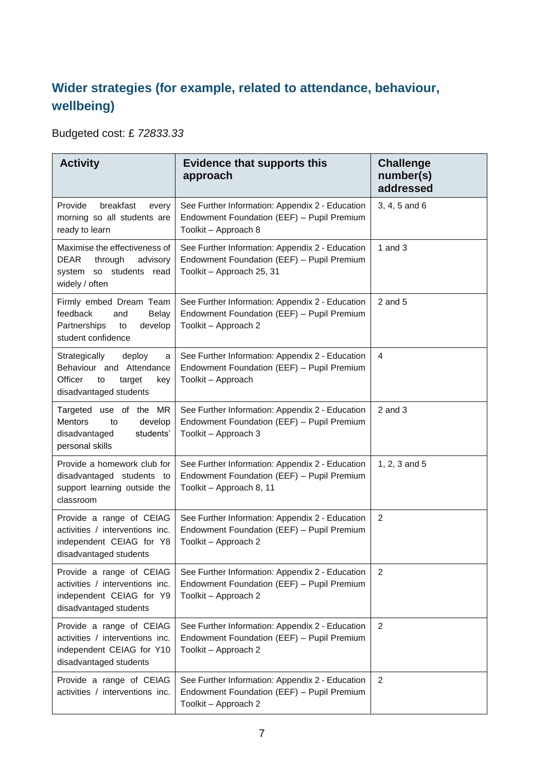## **Wider strategies (for example, related to attendance, behaviour, wellbeing)**

Budgeted cost: £ *72833.33*

| <b>Activity</b>                                                                                                             | <b>Evidence that supports this</b><br>approach                                                                             | <b>Challenge</b><br>number(s)<br>addressed |
|-----------------------------------------------------------------------------------------------------------------------------|----------------------------------------------------------------------------------------------------------------------------|--------------------------------------------|
| Provide<br>breakfast<br>every<br>morning so all students are<br>ready to learn                                              | See Further Information: Appendix 2 - Education<br>Endowment Foundation (EEF) - Pupil Premium<br>Toolkit - Approach 8      | 3, 4, 5 and 6                              |
| Maximise the effectiveness of<br>DEAR<br>through<br>advisory<br>system so students<br>read<br>widely / often                | See Further Information: Appendix 2 - Education<br>Endowment Foundation (EEF) - Pupil Premium<br>Toolkit - Approach 25, 31 | 1 and $3$                                  |
| Firmly embed Dream Team<br>feedback<br>and<br><b>Belay</b><br>Partnerships<br>develop<br>to<br>student confidence           | See Further Information: Appendix 2 - Education<br>Endowment Foundation (EEF) - Pupil Premium<br>Toolkit - Approach 2      | $2$ and $5$                                |
| Strategically<br>deploy<br>a<br>Behaviour and Attendance<br><b>Officer</b><br>target<br>to<br>key<br>disadvantaged students | See Further Information: Appendix 2 - Education<br>Endowment Foundation (EEF) - Pupil Premium<br>Toolkit - Approach        | 4                                          |
| Targeted<br>use of the MR<br><b>Mentors</b><br>develop<br>to<br>students'<br>disadvantaged<br>personal skills               | See Further Information: Appendix 2 - Education<br>Endowment Foundation (EEF) - Pupil Premium<br>Toolkit - Approach 3      | $2$ and $3$                                |
| Provide a homework club for<br>disadvantaged students to<br>support learning outside the<br>classroom                       | See Further Information: Appendix 2 - Education<br>Endowment Foundation (EEF) - Pupil Premium<br>Toolkit - Approach 8, 11  | 1, 2, 3 and 5                              |
| Provide a range of CEIAG<br>activities / interventions inc.<br>independent CEIAG for Y8<br>disadvantaged students           | See Further Information: Appendix 2 - Education<br>Endowment Foundation (EEF) - Pupil Premium<br>Toolkit - Approach 2      | 2                                          |
| Provide a range of CEIAG<br>activities / interventions inc.<br>independent CEIAG for Y9<br>disadvantaged students           | See Further Information: Appendix 2 - Education<br>Endowment Foundation (EEF) - Pupil Premium<br>Toolkit - Approach 2      | 2                                          |
| Provide a range of CEIAG<br>activities / interventions inc.<br>independent CEIAG for Y10<br>disadvantaged students          | See Further Information: Appendix 2 - Education<br>Endowment Foundation (EEF) - Pupil Premium<br>Toolkit - Approach 2      | 2                                          |
| Provide a range of CEIAG<br>activities / interventions inc.                                                                 | See Further Information: Appendix 2 - Education<br>Endowment Foundation (EEF) - Pupil Premium<br>Toolkit - Approach 2      | $\overline{2}$                             |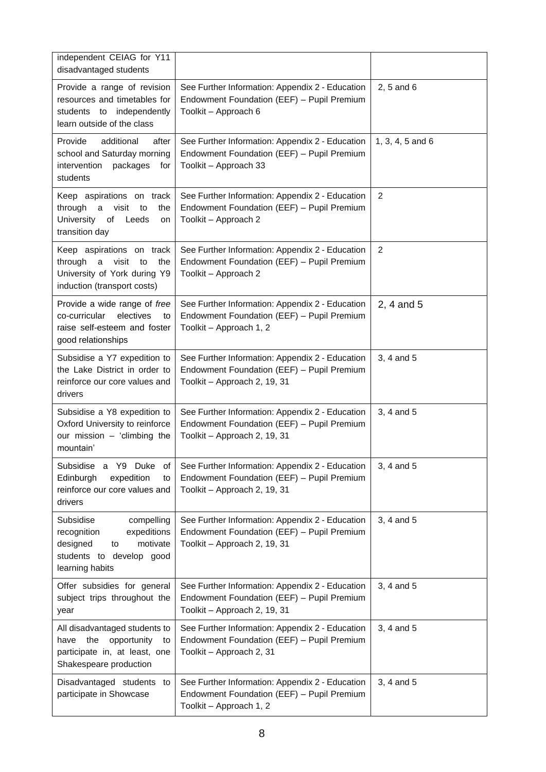| independent CEIAG for Y11<br>disadvantaged students                                                                                |                                                                                                                               |                  |
|------------------------------------------------------------------------------------------------------------------------------------|-------------------------------------------------------------------------------------------------------------------------------|------------------|
| Provide a range of revision<br>resources and timetables for<br>students to independently<br>learn outside of the class             | See Further Information: Appendix 2 - Education<br>Endowment Foundation (EEF) - Pupil Premium<br>Toolkit - Approach 6         | 2, 5 and 6       |
| Provide<br>additional<br>after<br>school and Saturday morning<br>packages<br>intervention<br>for<br>students                       | See Further Information: Appendix 2 - Education<br>Endowment Foundation (EEF) - Pupil Premium<br>Toolkit - Approach 33        | 1, 3, 4, 5 and 6 |
| Keep aspirations on track<br>through a visit to<br>the<br>University of Leeds<br>on<br>transition day                              | See Further Information: Appendix 2 - Education<br>Endowment Foundation (EEF) - Pupil Premium<br>Toolkit - Approach 2         | 2                |
| Keep aspirations on track<br>through<br>visit<br>the<br>a<br>to<br>University of York during Y9<br>induction (transport costs)     | See Further Information: Appendix 2 - Education<br>Endowment Foundation (EEF) - Pupil Premium<br>Toolkit - Approach 2         | 2                |
| Provide a wide range of free<br>co-curricular<br>electives<br>to<br>raise self-esteem and foster<br>good relationships             | See Further Information: Appendix 2 - Education<br>Endowment Foundation (EEF) - Pupil Premium<br>Toolkit - Approach 1, 2      | 2, 4 and 5       |
| Subsidise a Y7 expedition to<br>the Lake District in order to<br>reinforce our core values and<br>drivers                          | See Further Information: Appendix 2 - Education<br>Endowment Foundation (EEF) - Pupil Premium<br>Toolkit - Approach 2, 19, 31 | 3, 4 and 5       |
| Subsidise a Y8 expedition to<br>Oxford University to reinforce<br>our mission - 'climbing the<br>mountain'                         | See Further Information: Appendix 2 - Education<br>Endowment Foundation (EEF) - Pupil Premium<br>Toolkit - Approach 2, 19, 31 | 3, 4 and 5       |
| Subsidise a Y9 Duke<br>0t<br>Edinburgh<br>expedition<br>to<br>reinforce our core values and<br>drivers                             | See Further Information: Appendix 2 - Education<br>Endowment Foundation (EEF) - Pupil Premium<br>Toolkit - Approach 2, 19, 31 | 3, 4 and 5       |
| Subsidise<br>compelling<br>recognition<br>expeditions<br>designed<br>to<br>motivate<br>students to develop good<br>learning habits | See Further Information: Appendix 2 - Education<br>Endowment Foundation (EEF) - Pupil Premium<br>Toolkit - Approach 2, 19, 31 | 3, 4 and 5       |
| Offer subsidies for general<br>subject trips throughout the<br>year                                                                | See Further Information: Appendix 2 - Education<br>Endowment Foundation (EEF) - Pupil Premium<br>Toolkit - Approach 2, 19, 31 | 3, 4 and 5       |
| All disadvantaged students to<br>the<br>opportunity<br>have<br>to<br>participate in, at least, one<br>Shakespeare production       | See Further Information: Appendix 2 - Education<br>Endowment Foundation (EEF) - Pupil Premium<br>Toolkit - Approach 2, 31     | 3, 4 and 5       |
| Disadvantaged students to<br>participate in Showcase                                                                               | See Further Information: Appendix 2 - Education<br>Endowment Foundation (EEF) - Pupil Premium<br>Toolkit - Approach 1, 2      | 3, 4 and 5       |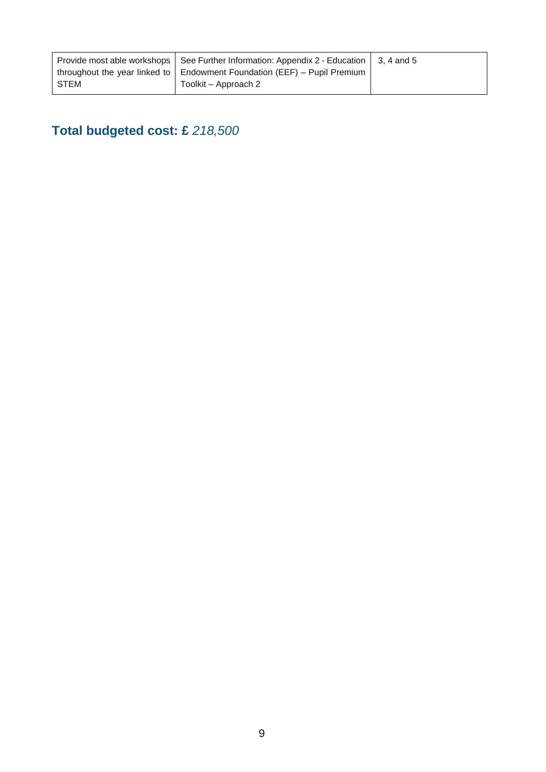|      | Provide most able workshops   See Further Information: Appendix 2 - Education   3, 4 and 5 |  |
|------|--------------------------------------------------------------------------------------------|--|
|      | throughout the year linked to $\vert$ Endowment Foundation (EEF) – Pupil Premium           |  |
| STEM | Toolkit – Approach 2                                                                       |  |

# **Total budgeted cost: £** *218,500*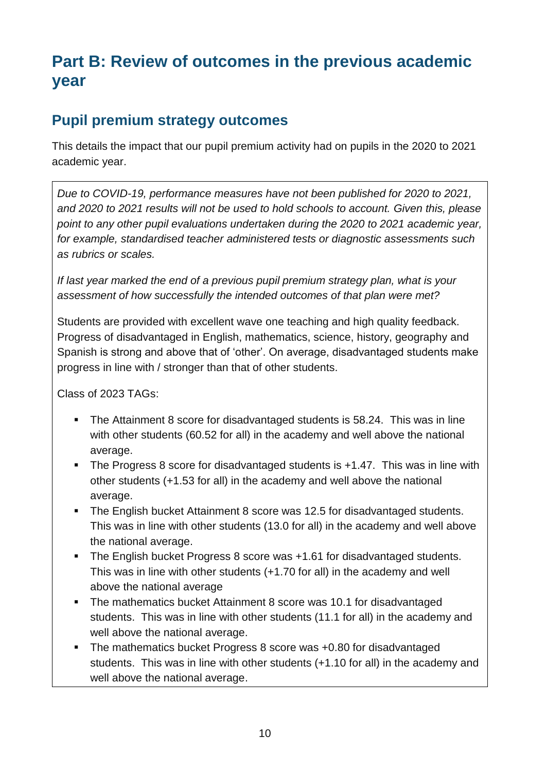# **Part B: Review of outcomes in the previous academic year**

## **Pupil premium strategy outcomes**

This details the impact that our pupil premium activity had on pupils in the 2020 to 2021 academic year.

*Due to COVID-19, performance measures have not been published for 2020 to 2021, and 2020 to 2021 results will not be used to hold schools to account. Given this, please point to any other pupil evaluations undertaken during the 2020 to 2021 academic year, for example, standardised teacher administered tests or diagnostic assessments such as rubrics or scales.*

*If last year marked the end of a previous pupil premium strategy plan, what is your assessment of how successfully the intended outcomes of that plan were met?* 

Students are provided with excellent wave one teaching and high quality feedback. Progress of disadvantaged in English, mathematics, science, history, geography and Spanish is strong and above that of 'other'. On average, disadvantaged students make progress in line with / stronger than that of other students.

Class of 2023 TAGs:

- The Attainment 8 score for disadvantaged students is 58.24. This was in line with other students (60.52 for all) in the academy and well above the national average.
- The Progress 8 score for disadvantaged students is +1.47. This was in line with other students (+1.53 for all) in the academy and well above the national average.
- The English bucket Attainment 8 score was 12.5 for disadvantaged students. This was in line with other students (13.0 for all) in the academy and well above the national average.
- The English bucket Progress 8 score was +1.61 for disadvantaged students. This was in line with other students (+1.70 for all) in the academy and well above the national average
- The mathematics bucket Attainment 8 score was 10.1 for disadvantaged students. This was in line with other students (11.1 for all) in the academy and well above the national average.
- The mathematics bucket Progress 8 score was +0.80 for disadvantaged students. This was in line with other students (+1.10 for all) in the academy and well above the national average.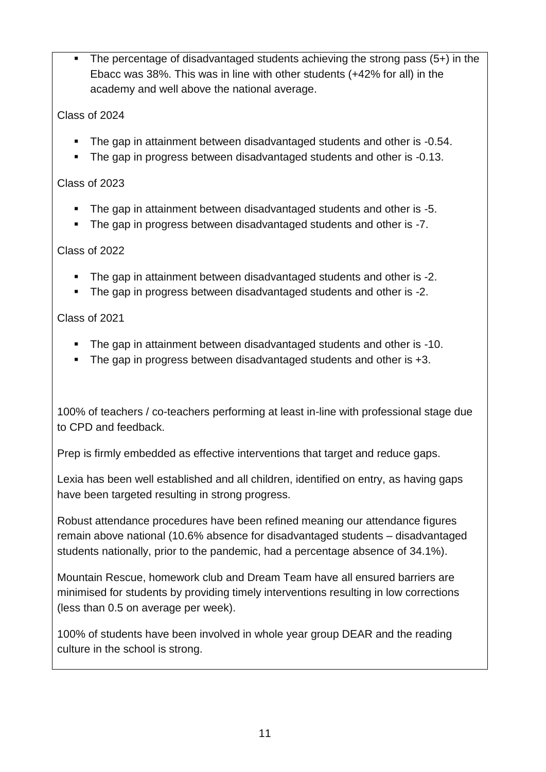The percentage of disadvantaged students achieving the strong pass  $(5+)$  in the Ebacc was 38%. This was in line with other students (+42% for all) in the academy and well above the national average.

#### Class of 2024

- The gap in attainment between disadvantaged students and other is -0.54.
- The gap in progress between disadvantaged students and other is -0.13.

#### Class of 2023

- The gap in attainment between disadvantaged students and other is -5.
- The gap in progress between disadvantaged students and other is -7.

#### Class of 2022

- The gap in attainment between disadvantaged students and other is -2.
- The gap in progress between disadvantaged students and other is -2.

#### Class of 2021

- The gap in attainment between disadvantaged students and other is -10.
- The gap in progress between disadvantaged students and other is +3.

100% of teachers / co-teachers performing at least in-line with professional stage due to CPD and feedback.

Prep is firmly embedded as effective interventions that target and reduce gaps.

Lexia has been well established and all children, identified on entry, as having gaps have been targeted resulting in strong progress.

Robust attendance procedures have been refined meaning our attendance figures remain above national (10.6% absence for disadvantaged students – disadvantaged students nationally, prior to the pandemic, had a percentage absence of 34.1%).

Mountain Rescue, homework club and Dream Team have all ensured barriers are minimised for students by providing timely interventions resulting in low corrections (less than 0.5 on average per week).

100% of students have been involved in whole year group DEAR and the reading culture in the school is strong.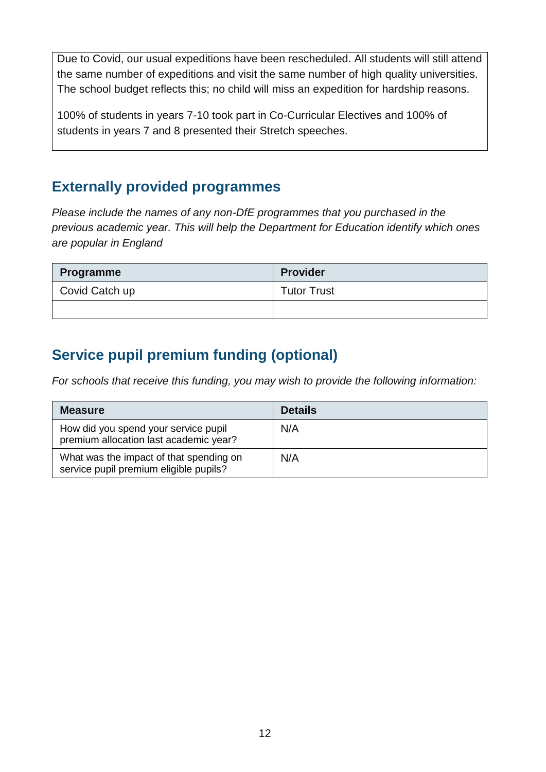Due to Covid, our usual expeditions have been rescheduled. All students will still attend the same number of expeditions and visit the same number of high quality universities. The school budget reflects this; no child will miss an expedition for hardship reasons.

100% of students in years 7-10 took part in Co-Curricular Electives and 100% of students in years 7 and 8 presented their Stretch speeches.

### **Externally provided programmes**

*Please include the names of any non-DfE programmes that you purchased in the previous academic year. This will help the Department for Education identify which ones are popular in England*

| <b>Programme</b> | <b>Provider</b>    |
|------------------|--------------------|
| Covid Catch up   | <b>Tutor Trust</b> |
|                  |                    |

## **Service pupil premium funding (optional)**

*For schools that receive this funding, you may wish to provide the following information:* 

| <b>Measure</b>                                                                    | <b>Details</b> |
|-----------------------------------------------------------------------------------|----------------|
| How did you spend your service pupil<br>premium allocation last academic year?    | N/A            |
| What was the impact of that spending on<br>service pupil premium eligible pupils? | N/A            |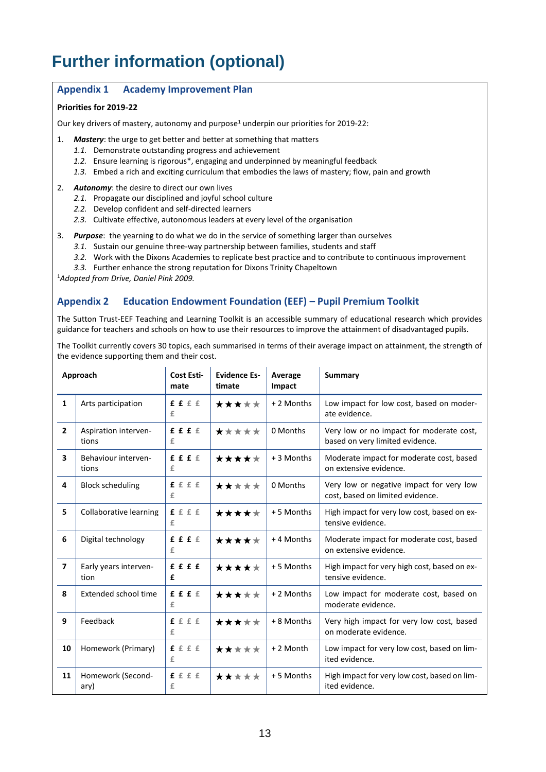# **Further information (optional)**

#### **Appendix 1 Academy Improvement Plan**

#### **Priorities for 2019-22**

Our key drivers of mastery, autonomy and purpose<sup>1</sup> underpin our priorities for 2019-22:

- 1. *Mastery*: the urge to get better and better at something that matters
	- *1.1.* Demonstrate outstanding progress and achievement
	- *1.2.* Ensure learning is rigorous\*, engaging and underpinned by meaningful feedback
	- *1.3.* Embed a rich and exciting curriculum that embodies the laws of mastery; flow, pain and growth
- 2. *Autonomy*: the desire to direct our own lives
	- *2.1.* Propagate our disciplined and joyful school culture
	- *2.2.* Develop confident and self-directed learners
	- *2.3.* Cultivate effective, autonomous leaders at every level of the organisation
- 3. *Purpose*: the yearning to do what we do in the service of something larger than ourselves
	- *3.1.* Sustain our genuine three-way partnership between families, students and staff
	- *3.2.* Work with the Dixons Academies to replicate best practice and to contribute to continuous improvement
	- *3.3.* Further enhance the strong reputation for Dixons Trinity Chapeltown

<sup>1</sup>*Adopted from Drive, Daniel Pink 2009.*

#### **Appendix 2 Education Endowment Foundation (EEF) – Pupil Premium Toolkit**

The Sutton Trust-EEF Teaching and Learning Toolkit is an accessible summary of educational research which provides guidance for teachers and schools on how to use their resources to improve the attainment of disadvantaged pupils.

The Toolkit currently covers 30 topics, each summarised in terms of their average impact on attainment, the strength of the evidence supporting them and their cost.

| Approach                |                               | Cost Esti-<br>mate | <b>Evidence Es-</b><br>timate | Average<br>Impact | Summary                                                                      |
|-------------------------|-------------------------------|--------------------|-------------------------------|-------------------|------------------------------------------------------------------------------|
| $\mathbf{1}$            | Arts participation            | f f f f f<br>£     | *****                         | + 2 Months        | Low impact for low cost, based on moder-<br>ate evidence.                    |
| $\overline{2}$          | Aspiration interven-<br>tions | f f f f<br>£       | *****                         | 0 Months          | Very low or no impact for moderate cost,<br>based on very limited evidence.  |
| $\overline{\mathbf{3}}$ | Behaviour interven-<br>tions  | f f f f<br>£       | *****                         | + 3 Months        | Moderate impact for moderate cost, based<br>on extensive evidence.           |
| 4                       | <b>Block scheduling</b>       | f f f f f<br>£     | *****                         | 0 Months          | Very low or negative impact for very low<br>cost, based on limited evidence. |
| 5                       | Collaborative learning        | f f f f<br>£       | *****                         | +5 Months         | High impact for very low cost, based on ex-<br>tensive evidence.             |
| 6                       | Digital technology            | f f f f<br>£       | *****                         | +4 Months         | Moderate impact for moderate cost, based<br>on extensive evidence.           |
| $\overline{7}$          | Early years interven-<br>tion | f f f f<br>£       | *****                         | +5 Months         | High impact for very high cost, based on ex-<br>tensive evidence.            |
| 8                       | Extended school time          | f f f f<br>£       | *****                         | + 2 Months        | Low impact for moderate cost, based on<br>moderate evidence.                 |
| 9                       | Feedback                      | f f f f<br>£       | *****                         | + 8 Months        | Very high impact for very low cost, based<br>on moderate evidence.           |
| 10                      | Homework (Primary)            | f f f f<br>£       | *****                         | + 2 Month         | Low impact for very low cost, based on lim-<br>ited evidence.                |
| 11                      | Homework (Second-<br>ary)     | f f f f<br>£       | *****                         | +5 Months         | High impact for very low cost, based on lim-<br>ited evidence.               |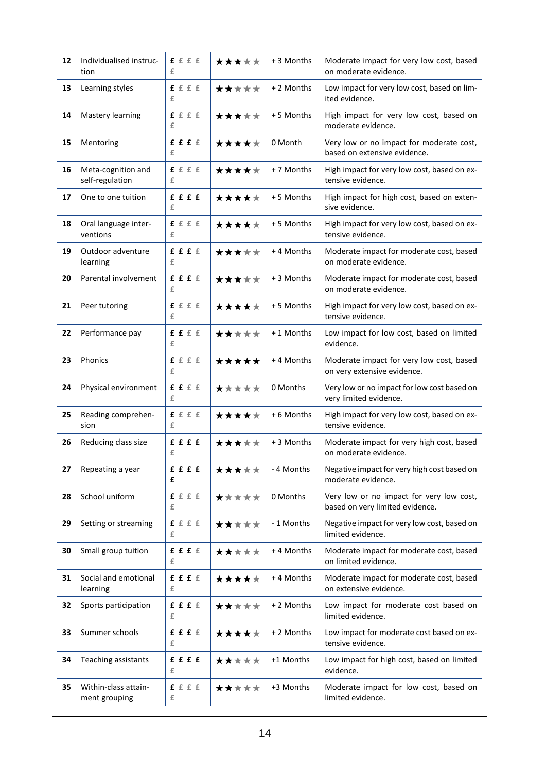| 12 | Individualised instruc-<br>tion       | £ £ £ £<br>£        | ***** | + 3 Months | Moderate impact for very low cost, based<br>on moderate evidence.           |
|----|---------------------------------------|---------------------|-------|------------|-----------------------------------------------------------------------------|
| 13 | Learning styles                       | f f f f<br>£        | ***** | +2 Months  | Low impact for very low cost, based on lim-<br>ited evidence.               |
| 14 | Mastery learning                      | f f f f<br>£        | ***** | + 5 Months | High impact for very low cost, based on<br>moderate evidence.               |
| 15 | Mentoring                             | f f f f<br>£        | ***** | 0 Month    | Very low or no impact for moderate cost,<br>based on extensive evidence.    |
| 16 | Meta-cognition and<br>self-regulation | f f f f<br>£        | ***** | +7 Months  | High impact for very low cost, based on ex-<br>tensive evidence.            |
| 17 | One to one tuition                    | ffff<br>£           | ***** | + 5 Months | High impact for high cost, based on exten-<br>sive evidence.                |
| 18 | Oral language inter-<br>ventions      | ffff<br>£           | ***** | +5 Months  | High impact for very low cost, based on ex-<br>tensive evidence.            |
| 19 | Outdoor adventure<br>learning         | f f f f<br>£        | ***** | +4 Months  | Moderate impact for moderate cost, based<br>on moderate evidence.           |
| 20 | Parental involvement                  | ffff<br>£           | ***** | + 3 Months | Moderate impact for moderate cost, based<br>on moderate evidence.           |
| 21 | Peer tutoring                         | ffff<br>£           | ***** | +5 Months  | High impact for very low cost, based on ex-<br>tensive evidence.            |
| 22 | Performance pay                       | ffff<br>£           | ***** | +1 Months  | Low impact for low cost, based on limited<br>evidence.                      |
| 23 | Phonics                               | f f f f<br>£        | ***** | +4 Months  | Moderate impact for very low cost, based<br>on very extensive evidence.     |
| 24 | Physical environment                  | ffff<br>£           | ***** | 0 Months   | Very low or no impact for low cost based on<br>very limited evidence.       |
| 25 | Reading comprehen-<br>sion            | f f f f<br>£        | ***** | +6 Months  | High impact for very low cost, based on ex-<br>tensive evidence.            |
| 26 | Reducing class size                   | ffff<br>£           | ***** | +3 Months  | Moderate impact for very high cost, based<br>on moderate evidence.          |
| 27 | Repeating a year                      | £ £ £ £<br>£        | ***** | - 4 Months | Negative impact for very high cost based on<br>moderate evidence.           |
| 28 | School uniform                        | <b>f</b> f f f<br>£ | ***** | 0 Months   | Very low or no impact for very low cost,<br>based on very limited evidence. |
| 29 | Setting or streaming                  | f f f f<br>£        | ***** | - 1 Months | Negative impact for very low cost, based on<br>limited evidence.            |
| 30 | Small group tuition                   | f f f f<br>£        | ***** | +4 Months  | Moderate impact for moderate cost, based<br>on limited evidence.            |
| 31 | Social and emotional<br>learning      | f f f f<br>£        | ***** | +4 Months  | Moderate impact for moderate cost, based<br>on extensive evidence.          |
| 32 | Sports participation                  | £ £ £ £<br>£        | ***** | +2 Months  | Low impact for moderate cost based on<br>limited evidence.                  |
| 33 | Summer schools                        | £ £ £ £<br>£        | ★★★★★ | +2 Months  | Low impact for moderate cost based on ex-<br>tensive evidence.              |
| 34 | Teaching assistants                   | £ £ £ £<br>£        | ***** | +1 Months  | Low impact for high cost, based on limited<br>evidence.                     |
| 35 | Within-class attain-<br>ment grouping | f f f f<br>£        | ***** | +3 Months  | Moderate impact for low cost, based on<br>limited evidence.                 |